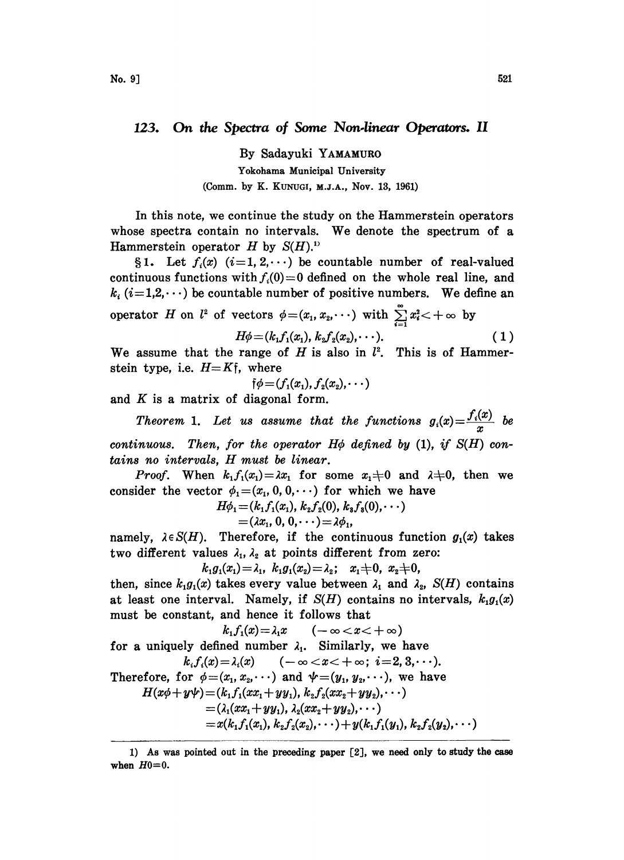123. On the Spectra of Some Non-linear Operators. II

By Sadayuki YAMAMURO Yokohama Municipal University (Comm. by K. KUNUGI, M.J.A., Nov. 13, 1961)

In this note, we continue the study on the Hammerstein operators whose spectra contain no intervals. We denote the spectrum of <sup>a</sup> Hammerstein operator H by  $S(H)$ .<sup>11</sup>

§1. Let  $f_i(x)$   $(i=1, 2, \dots)$  be countable number of real-valued continuous functions with  $f_i(0)=0$  defined on the whole real line, and  $k_i$  (i=1,2, $\cdots$ ) be countable number of positive numbers. We define an operator H on  $l^2$  of vectors  $\phi = (x_1, x_2, \dots)$  with  $\sum_{n=1}^{\infty} x_i^2 < +\infty$ 

$$
H \text{ on } t^* \text{ of vectors } \varphi = (x_1, x_2, \cdots) \text{ with } \sum_{i=1}^{n} x_i < +\infty \text{ by}
$$

$$
H\varphi = (k_1 f_1(x_1), k_2 f_2(x_2), \cdots).
$$
(1)

We assume that the range of H is also in  $l^2$ . This is of Hammerstein type, i.e.  $H=K\mathfrak{f}$ , where

$$
\phi\!=\!(f_1(x_1),f_2(x_2),\cdots)
$$

and  $K$  is a matrix of diagonal form.

Theorem 1. Let us assume that the functions  $g_i(x) = \frac{f_i(x)}{x}$  be

continuous. Then, for the operator  $H\phi$  defined by (1), if  $S(H)$  contains no intervals, H must be linear.

*Proof.* When  $k_1 f_1(x_1) = \lambda x_1$  for some  $x_1 \neq 0$  and  $\lambda \neq 0$ , then we consider the vector  $\phi_1=(x_1, 0, 0, \cdots)$  for which we have

$$
H\phi_1 = (k_1 f_1(x_1), k_2 f_2(0), k_3 f_3(0), \cdots)
$$
  
=  $(\lambda x_1, 0, 0, \cdots) = \lambda \phi_1,$ 

namely,  $\lambda \in S(H)$ . Therefore, if the continuous function  $g_1(x)$  takes two different values  $\lambda_1$ ,  $\lambda_2$  at points different from zero:

$$
k_1g_1(x_1) = \lambda_1, \ k_1g_1(x_2) = \lambda_2; \ x_1 + 0, \ x_2 + 0,
$$

then, since  $k_1g_1(x)$  takes every value between  $\lambda_1$  and  $\lambda_2$ ,  $S(H)$  contains at least one interval. Namely, if  $S(H)$  contains no intervals,  $k_1g_1(x)$ must be constant, and hence it follows that

$$
k_1 f_1(x) = \lambda_1 x \quad (-\infty < x < +\infty)
$$
  
for a uniquely defined number  $\lambda_1$ . Similarly, we have  

$$
k_i f_i(x) = \lambda_i(x) \quad (-\infty < x < +\infty; \ i = 2, 3, \cdots).
$$
  
Therefore, for  $\phi = (x_1, x_2, \cdots)$  and  $\psi = (y_1, y_2, \cdots)$ , we have  

$$
H(x\phi + y\psi) = (k_1 f_1(xx_1 + yy_1), k_2 f_2(xx_2 + yy_2), \cdots)
$$

$$
= (\lambda_1 (xx_1 + yy_1), \lambda_2 (xx_2 + yy_2), \cdots)
$$

$$
= x(k_1 f_1(x_1), k_2 f_2(x_2), \cdots) + y(k_1 f_1(y_1), k_2 f_2(y_2), \cdots)
$$

<sup>1)</sup> As was pointed out in the preceding paper [2], we need only to study the case when  $H0=0$ .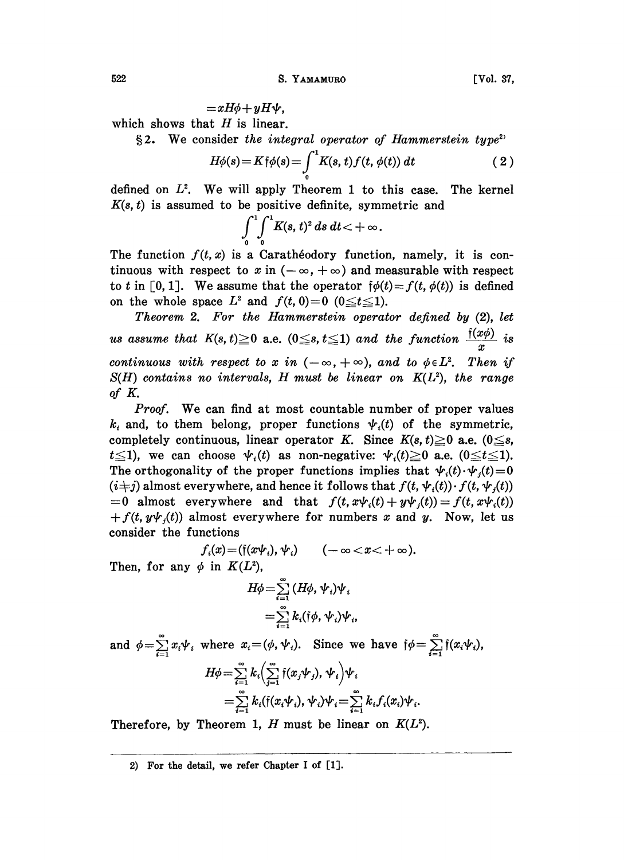522 S. YAMAMURO [Vol. 37,

 $=xH\phi + yH\psi$ .

 $+yH\Psi,$ <br>s linear<br>the int which shows that  $H$  is linear.

§2. We consider the integral operator of Hammerstein type<sup>2</sup>

$$
H\phi(s) = K\dot{\uparrow}\phi(s) = \int_{0}^{1} K(s, t) f(t, \phi(t)) dt \qquad (2)
$$

defined on  $L^2$ . We will apply Theorem 1 to this case. The kernel  $K(s, t)$  is assumed to be positive definite, symmetric and

 $\int_{0}^{1} \int_{0}^{1} K(s, t)^{2} ds dt < +\infty.$ 

The function  $f(t, x)$  is a Caratheodory function, namely, it is continuous with respect to x in  $(-\infty, +\infty)$  and measurable with respect to t in [0, 1]. We assume that the operator  $\phi(t)=f(t, \phi(t))$  is defined on the whole space  $L^2$  and  $f(t, 0)=0$  ( $0 \le t \le 1$ ).

Theorem 2. For the Hammerstein operator defined by (2), let us assume that  $K(s, t) \geq 0$  a.e.  $(0 \leq s, t \leq 1)$  and the function  $\frac{f(x\phi)}{x}$  is continuous with respect to x in  $(-\infty, +\infty)$ , and to  $\phi \in L^2$ . Then if  $S(H)$  contains no intervals, H must be linear on  $K(L^2)$ , the range of K.

Proof. We can find at most countable number of proper values  $k_i$  and, to them belong, proper functions  $\psi_i(t)$  of the symmetric, completely continuous, linear operator K. Since  $K(s, t) \geq 0$  a.e.  $(0 \leq s,$  $t \leq 1$ , we can choose  $\psi_i(t)$  as non-negative:  $\psi_i(t) \geq 0$  a.e.  $(0 \leq t \leq 1)$ . The orthogonality of the proper functions implies that  $\psi_i(t) \cdot \psi_j(t)=0$  $(i+j)$  almost everywhere, and hence it follows that  $f(t, \psi_i(t)) \cdot f(t, \psi_i(t))$ =0 almost everywhere and that  $f(t, x\psi_i(t) + y\psi_i(t)) = f(t, x\psi_i(t))$  $+f(t, y\psi_i(t))$  almost everywhere for numbers x and y. Now, let us consider the functions

$$
f_i(x) = (\dagger(x\psi_i), \psi_i) \qquad (-\infty < x < +\infty).
$$

Then, for any  $\phi$  in  $K(L^2)$ ,

$$
H\phi = \sum_{i=1}^{\infty} (H\phi, \psi_i)\psi_i
$$
  
= 
$$
\sum_{i=1}^{\infty} k_i (\dagger \phi, \psi_i)\psi_i,
$$

and  $\phi = \sum_{i=1}^{\infty} x_i \psi_i$  where  $x_i = (\phi, \psi_i)$ . Since we have  $\phi = \sum_{i=1}^{\infty} \mathfrak{f}(x_i \psi_i)$ ,  $H\phi = \sum_{i=1}^{\infty} k_i \left(\sum_{i=1}^{\infty} \mathfrak{f}(x_j \psi_j), \psi_i\right) \psi_i$  $\sum_{i=1}^{\infty} k_i(\mathfrak{f}(x_i \psi_i), \psi_i) \psi_i = \sum_{i=1}^{\infty} k_i f_i(x_i) \psi_i.$ 

Therefore, by Theorem 1, H must be linear on  $K(L^2)$ .

2) For the detail, we refer Chapter <sup>I</sup> of [1].